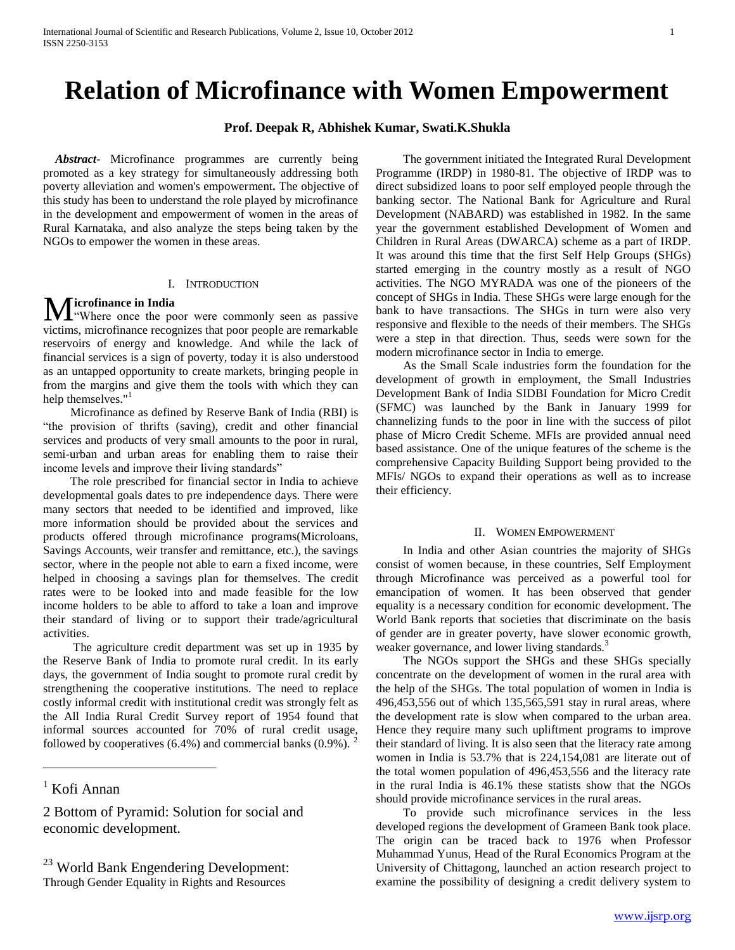# **Relation of Microfinance with Women Empowerment**

# **Prof. Deepak R, Abhishek Kumar, Swati.K.Shukla**

 *Abstract***-** Microfinance programmes are currently being promoted as a key strategy for simultaneously addressing both poverty alleviation and women's empowerment**.** The objective of this study has been to understand the role played by microfinance in the development and empowerment of women in the areas of Rural Karnataka, and also analyze the steps being taken by the NGOs to empower the women in these areas.

# I. INTRODUCTION

# **icrofinance in India**

Microfinance in India<br>
"Where once the poor were commonly seen as passive victims, microfinance recognizes that poor people are remarkable reservoirs of energy and knowledge. And while the lack of financial services is a sign of poverty, today it is also understood as an untapped opportunity to create markets, bringing people in from the margins and give them the tools with which they can help themselves."<sup>1</sup>

 Microfinance as defined by Reserve Bank of India (RBI) is "the provision of thrifts (saving), credit and other financial services and products of very small amounts to the poor in rural, semi-urban and urban areas for enabling them to raise their income levels and improve their living standards"

 The role prescribed for financial sector in India to achieve developmental goals dates to pre independence days. There were many sectors that needed to be identified and improved, like more information should be provided about the services and products offered through microfinance programs(Microloans, Savings Accounts, weir transfer and remittance, etc.), the savings sector, where in the people not able to earn a fixed income, were helped in choosing a savings plan for themselves. The credit rates were to be looked into and made feasible for the low income holders to be able to afford to take a loan and improve their standard of living or to support their trade/agricultural activities.

 The agriculture credit department was set up in 1935 by the Reserve Bank of India to promote rural credit. In its early days, the government of India sought to promote rural credit by strengthening the cooperative institutions. The need to replace costly informal credit with institutional credit was strongly felt as the All India Rural Credit Survey report of 1954 found that informal sources accounted for 70% of rural credit usage, followed by cooperatives  $(6.4\%)$  and commercial banks  $(0.9\%)$ .<sup>2</sup>

 $<sup>1</sup>$  Kofi Annan</sup>

 $\overline{a}$ 

2 Bottom of Pyramid: Solution for social and economic development.

<sup>23</sup> World Bank Engendering Development: Through Gender Equality in Rights and Resources

 The government initiated the Integrated Rural Development Programme (IRDP) in 1980-81. The objective of IRDP was to direct subsidized loans to poor self employed people through the banking sector. The National Bank for Agriculture and Rural Development (NABARD) was established in 1982. In the same year the government established Development of Women and Children in Rural Areas (DWARCA) scheme as a part of IRDP. It was around this time that the first Self Help Groups (SHGs) started emerging in the country mostly as a result of NGO activities. The NGO MYRADA was one of the pioneers of the concept of SHGs in India. These SHGs were large enough for the bank to have transactions. The SHGs in turn were also very responsive and flexible to the needs of their members. The SHGs were a step in that direction. Thus, seeds were sown for the modern microfinance sector in India to emerge.

 As the Small Scale industries form the foundation for the development of growth in employment, the Small Industries Development Bank of India SIDBI Foundation for Micro Credit (SFMC) was launched by the Bank in January 1999 for channelizing funds to the poor in line with the success of pilot phase of Micro Credit Scheme. MFIs are provided annual need based assistance. One of the unique features of the scheme is the comprehensive Capacity Building Support being provided to the MFIs/ NGOs to expand their operations as well as to increase their efficiency.

# II. WOMEN EMPOWERMENT

 In India and other Asian countries the majority of SHGs consist of women because, in these countries, Self Employment through Microfinance was perceived as a powerful tool for emancipation of women. It has been observed that gender equality is a necessary condition for economic development. The World Bank reports that societies that discriminate on the basis of gender are in greater poverty, have slower economic growth, weaker governance, and lower living standards.<sup>3</sup>

 The NGOs support the SHGs and these SHGs specially concentrate on the development of women in the rural area with the help of the SHGs. The total population of women in India is 496,453,556 out of which 135,565,591 stay in rural areas, where the development rate is slow when compared to the urban area. Hence they require many such upliftment programs to improve their standard of living. It is also seen that the literacy rate among women in India is 53.7% that is 224,154,081 are literate out of the total women population of 496,453,556 and the literacy rate in the rural India is 46.1% these statists show that the NGOs should provide microfinance services in the rural areas.

 To provide such microfinance services in the less developed regions the development of Grameen Bank took place. The origin can be traced back to 1976 when Professor Muhammad Yunus, Head of the Rural Economics Program at the University of Chittagong, launched an action research project to examine the possibility of designing a credit delivery system to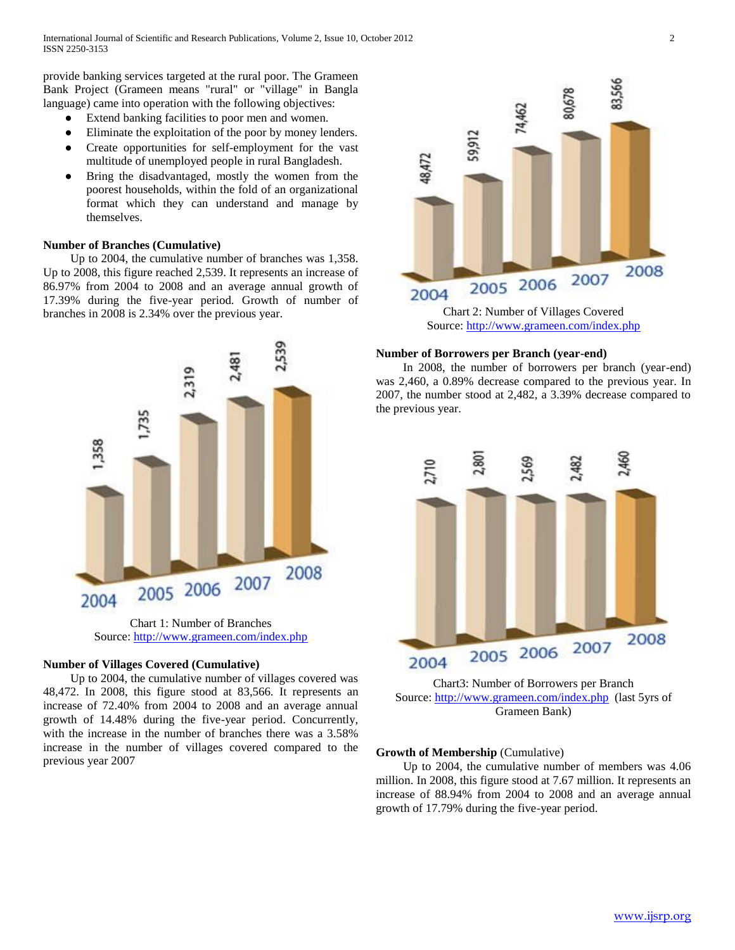provide banking services targeted at the rural poor. The Grameen Bank Project (Grameen means "rural" or "village" in Bangla language) came into operation with the following objectives:

- Extend banking facilities to poor men and women.
- Eliminate the exploitation of the poor by money lenders.
- Create opportunities for self-employment for the vast multitude of unemployed people in rural Bangladesh.
- Bring the disadvantaged, mostly the women from the poorest households, within the fold of an organizational format which they can understand and manage by themselves.

# **Number of Branches (Cumulative)**

 Up to 2004, the cumulative number of branches was 1,358. Up to 2008, this figure reached 2,539. It represents an increase of 86.97% from 2004 to 2008 and an average annual growth of 17.39% during the five-year period. Growth of number of branches in 2008 is 2.34% over the previous year.



Chart 1: Number of Branches Source: [http://w](http://www.grameen.com/index.php)w[w.g](http://www.grameen.com/index.php)ramee[n.c](http://www.grameen.com/index.php)o[m/i](http://www.grameen.com/index.php)nde[x.php](http://www.grameen.com/index.php)

# **Number of Villages Covered (Cumulative)**

 Up to 2004, the cumulative number of villages covered was 48,472. In 2008, this figure stood at 83,566. It represents an increase of 72.40% from 2004 to 2008 and an average annual growth of 14.48% during the five-year period. Concurrently, with the increase in the number of branches there was a 3.58% increase in the number of villages covered compared to the previous year 2007



Source: [http://w](http://www.grameen.com/index.php)w[w.g](http://www.grameen.com/index.php)ramee[n.c](http://www.grameen.com/index.php)o[m/i](http://www.grameen.com/index.php)nde[x.php](http://www.grameen.com/index.php)

### **Number of Borrowers per Branch (year-end)**

 In 2008, the number of borrowers per branch (year-end) was 2,460, a 0.89% decrease compared to the previous year. In 2007, the number stood at 2,482, a 3.39% decrease compared to the previous year.



Chart3: Number of Borrowers per Branch Source: [http://w](http://www.grameen.com/index.php)w[w.g](http://www.grameen.com/index.php)ramee[n.c](http://www.grameen.com/index.php)o[m/i](http://www.grameen.com/index.php)nde[x.php](http://www.grameen.com/index.php) (last 5yrs of Grameen Bank)

# **Growth of Membership** (Cumulative)

 Up to 2004, the cumulative number of members was 4.06 million. In 2008, this figure stood at 7.67 million. It represents an increase of 88.94% from 2004 to 2008 and an average annual growth of 17.79% during the five-year period.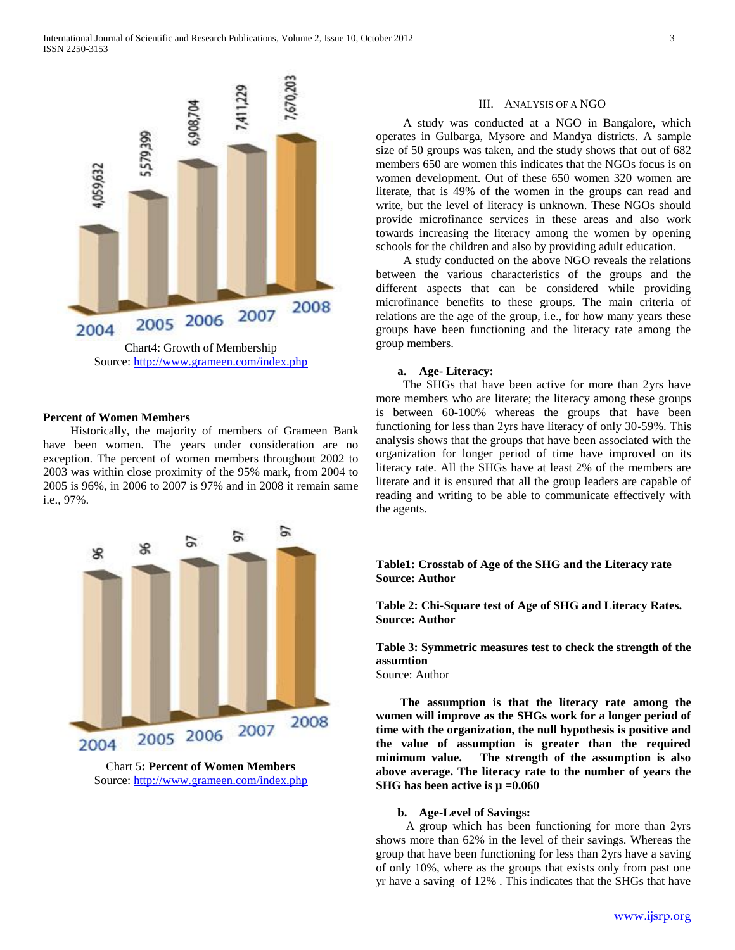

#### **Percent of Women Members**

 Historically, the majority of members of Grameen Bank have been women. The years under consideration are no exception. The percent of women members throughout 2002 to 2003 was within close proximity of the 95% mark, from 2004 to 2005 is 96%, in 2006 to 2007 is 97% and in 2008 it remain same i.e., 97%.



Chart 5**: Percent of Women Members** Source: [http://w](http://www.grameen.com/index.php)w[w.g](http://www.grameen.com/index.php)ramee[n.c](http://www.grameen.com/index.php)o[m/i](http://www.grameen.com/index.php)nde[x.php](http://www.grameen.com/index.php)

# III. ANALYSIS OF A NGO

 A study was conducted at a NGO in Bangalore, which operates in Gulbarga, Mysore and Mandya districts. A sample size of 50 groups was taken, and the study shows that out of 682 members 650 are women this indicates that the NGOs focus is on women development. Out of these 650 women 320 women are literate, that is 49% of the women in the groups can read and write, but the level of literacy is unknown. These NGOs should provide microfinance services in these areas and also work towards increasing the literacy among the women by opening schools for the children and also by providing adult education.

 A study conducted on the above NGO reveals the relations between the various characteristics of the groups and the different aspects that can be considered while providing microfinance benefits to these groups. The main criteria of relations are the age of the group, i.e., for how many years these groups have been functioning and the literacy rate among the group members.

# **a. Age- Literacy:**

 The SHGs that have been active for more than 2yrs have more members who are literate; the literacy among these groups is between 60-100% whereas the groups that have been functioning for less than 2yrs have literacy of only 30-59%. This analysis shows that the groups that have been associated with the organization for longer period of time have improved on its literacy rate. All the SHGs have at least 2% of the members are literate and it is ensured that all the group leaders are capable of reading and writing to be able to communicate effectively with the agents.

# **Table1: Crosstab of Age of the SHG and the Literacy rate Source: Author**

**Table 2: Chi-Square test of Age of SHG and Literacy Rates. Source: Author**

**Table 3: Symmetric measures test to check the strength of the assumtion**

Source: Author

 **The assumption is that the literacy rate among the women will improve as the SHGs work for a longer period of time with the organization, the null hypothesis is positive and the value of assumption is greater than the required minimum value. The strength of the assumption is also above average. The literacy rate to the number of years the SHG has been active is µ =0.060**

#### **b. Age-Level of Savings:**

 A group which has been functioning for more than 2yrs shows more than 62% in the level of their savings. Whereas the group that have been functioning for less than 2yrs have a saving of only 10%, where as the groups that exists only from past one yr have a saving of 12% . This indicates that the SHGs that have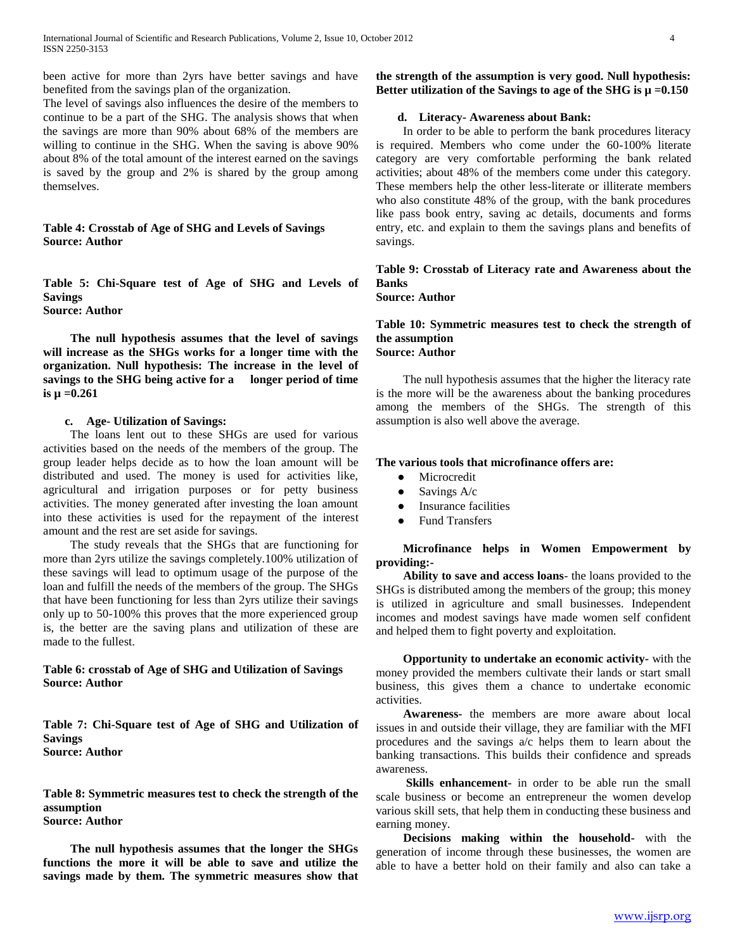been active for more than 2yrs have better savings and have benefited from the savings plan of the organization.

The level of savings also influences the desire of the members to continue to be a part of the SHG. The analysis shows that when the savings are more than 90% about 68% of the members are willing to continue in the SHG. When the saving is above 90% about 8% of the total amount of the interest earned on the savings is saved by the group and 2% is shared by the group among themselves.

# **Table 4: Crosstab of Age of SHG and Levels of Savings Source: Author**

**Table 5: Chi-Square test of Age of SHG and Levels of Savings Source: Author**

 **The null hypothesis assumes that the level of savings will increase as the SHGs works for a longer time with the organization. Null hypothesis: The increase in the level of savings to the SHG being active for a longer period of time is µ =0.261**

# **c. Age- Utilization of Savings:**

 The loans lent out to these SHGs are used for various activities based on the needs of the members of the group. The group leader helps decide as to how the loan amount will be distributed and used. The money is used for activities like, agricultural and irrigation purposes or for petty business activities. The money generated after investing the loan amount into these activities is used for the repayment of the interest amount and the rest are set aside for savings.

 The study reveals that the SHGs that are functioning for more than 2yrs utilize the savings completely.100% utilization of these savings will lead to optimum usage of the purpose of the loan and fulfill the needs of the members of the group. The SHGs that have been functioning for less than 2yrs utilize their savings only up to 50-100% this proves that the more experienced group is, the better are the saving plans and utilization of these are made to the fullest.

# **Table 6: crosstab of Age of SHG and Utilization of Savings Source: Author**

**Table 7: Chi-Square test of Age of SHG and Utilization of Savings Source: Author**

**Table 8: Symmetric measures test to check the strength of the assumption Source: Author**

 **The null hypothesis assumes that the longer the SHGs functions the more it will be able to save and utilize the savings made by them. The symmetric measures show that** 

**the strength of the assumption is very good. Null hypothesis:**  Better utilization of the Savings to age of the SHG is  $\mu = 0.150$ 

# **d. Literacy- Awareness about Bank:**

 In order to be able to perform the bank procedures literacy is required. Members who come under the 60-100% literate category are very comfortable performing the bank related activities; about 48% of the members come under this category. These members help the other less-literate or illiterate members who also constitute 48% of the group, with the bank procedures like pass book entry, saving ac details, documents and forms entry, etc. and explain to them the savings plans and benefits of savings.

# **Table 9: Crosstab of Literacy rate and Awareness about the Banks**

**Source: Author**

# **Table 10: Symmetric measures test to check the strength of the assumption Source: Author**

 The null hypothesis assumes that the higher the literacy rate is the more will be the awareness about the banking procedures among the members of the SHGs. The strength of this assumption is also well above the average.

## **The various tools that microfinance offers are:**

- Microcredit
- $\bullet$  Savings A/c
- Insurance facilities
- **Fund Transfers**

 **Microfinance helps in Women Empowerment by providing:-**

 **Ability to save and access loans**- the loans provided to the SHGs is distributed among the members of the group; this money is utilized in agriculture and small businesses. Independent incomes and modest savings have made women self confident and helped them to fight poverty and exploitation.

 **Opportunity to undertake an economic activity-** with the money provided the members cultivate their lands or start small business, this gives them a chance to undertake economic activities.

 **Awareness-** the members are more aware about local issues in and outside their village, they are familiar with the MFI procedures and the savings a/c helps them to learn about the banking transactions. This builds their confidence and spreads awareness.

 **Skills enhancement-** in order to be able run the small scale business or become an entrepreneur the women develop various skill sets, that help them in conducting these business and earning money.

 **Decisions making within the household-** with the generation of income through these businesses, the women are able to have a better hold on their family and also can take a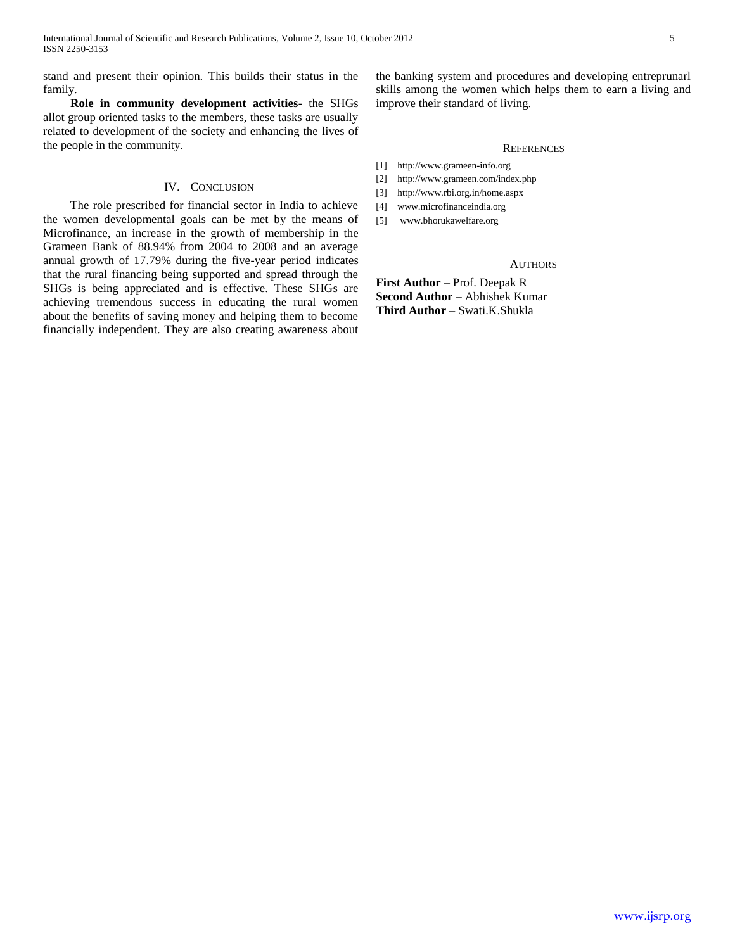stand and present their opinion. This builds their status in the family.

 **Role in community development activities-** the SHGs allot group oriented tasks to the members, these tasks are usually related to development of the society and enhancing the lives of the people in the community.

### IV. CONCLUSION

 The role prescribed for financial sector in India to achieve the women developmental goals can be met by the means of Microfinance, an increase in the growth of membership in the Grameen Bank of 88.94% from 2004 to 2008 and an average annual growth of 17.79% during the five-year period indicates that the rural financing being supported and spread through the SHGs is being appreciated and is effective. These SHGs are achieving tremendous success in educating the rural women about the benefits of saving money and helping them to become financially independent. They are also creating awareness about the banking system and procedures and developing entreprunarl skills among the women which helps them to earn a living and improve their standard of living.

#### **REFERENCES**

- [1] http://www.grameen-info.org
- [2] http://www.grameen.com/index.php
- [3] http://www.rbi.org.in/home.aspx
- [4] www.microfinanceindia.org
- [5] www.bhorukawelfare.org

# **AUTHORS**

**First Author** – Prof. Deepak R **Second Author** – Abhishek Kumar **Third Author** – Swati.K.Shukla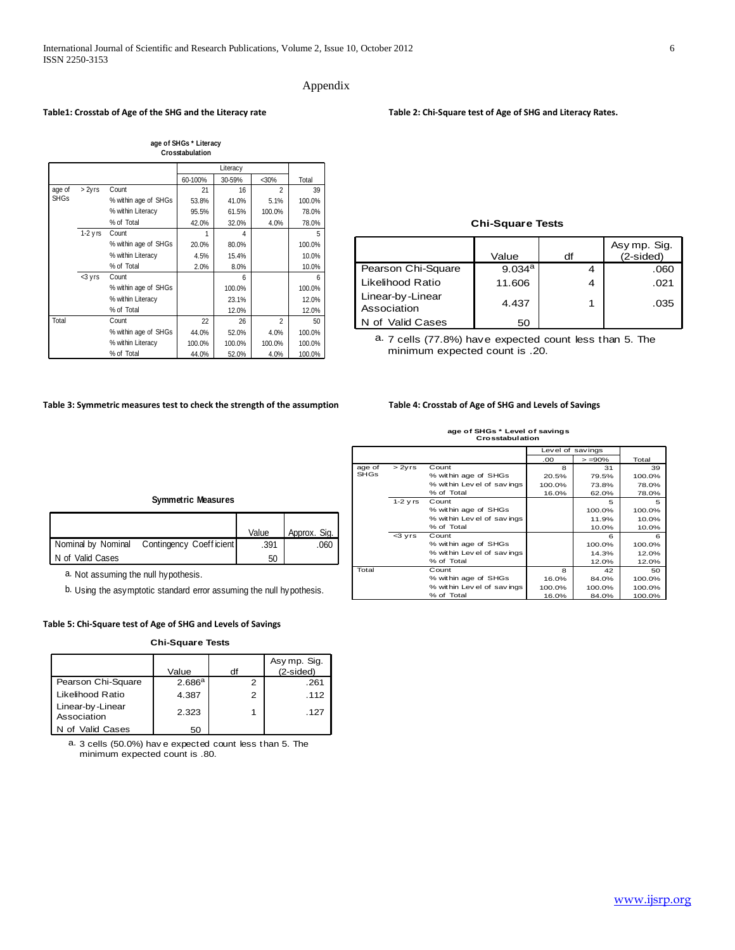# Appendix

#### **Table1: Crosstab of Age of the SHG and the Literacy rate Table 2: Chi-Square test of Age of SHG and Literacy Rates.**

|             |            |                      |         | Literacy |                |        |
|-------------|------------|----------------------|---------|----------|----------------|--------|
|             |            |                      | 60-100% | 30-59%   | $30%$          | Total  |
| age of      | > 2yrs     | Count                | 21      | 16       | $\overline{2}$ | 39     |
| <b>SHGs</b> |            | % within age of SHGs | 53.8%   | 41.0%    | 5.1%           | 100.0% |
|             |            | % within Literacy    | 95.5%   | 61.5%    | 100.0%         | 78.0%  |
|             |            | % of Total           | 42.0%   | 32.0%    | 4.0%           | 78.0%  |
|             | $1-2$ y rs | Count                | 1       | 4        |                | 5      |
|             |            | % within age of SHGs | 20.0%   | 80.0%    |                | 100.0% |
|             |            | % within Literacy    | 4.5%    | 15.4%    |                | 10.0%  |
|             |            | % of Total           | 2.0%    | 8.0%     |                | 10.0%  |
|             | <3 yrs     | Count                |         | 6        |                | 6      |
|             |            | % within age of SHGs |         | 100.0%   |                | 100.0% |
|             |            | % within Literacy    |         | 23.1%    |                | 12.0%  |
|             |            | % of Total           |         | 12.0%    |                | 12.0%  |
| Total       |            | Count                | 22      | 26       | $\overline{2}$ | 50     |
|             |            | % within age of SHGs | 44.0%   | 52.0%    | 4.0%           | 100.0% |
|             |            | % within Literacy    | 100.0%  | 100.0%   | 100.0%         | 100.0% |
|             |            | % of Total           | 44.0%   | 52.0%    | 4.0%           | 100.0% |

**age of SHGs \* Literacy Crosstabulation**

# **Chi-Square Tests**

| <b>Chi-Square Tests</b>         |                    |    |                             |  |  |
|---------------------------------|--------------------|----|-----------------------------|--|--|
|                                 | Value              | df | Asy mp. Sig.<br>$(2-sided)$ |  |  |
| Pearson Chi-Square              | 9.034 <sup>a</sup> | 4  | .060                        |  |  |
| Likelihood Ratio                | 11.606             | 4  | .021                        |  |  |
| Linear-by-Linear<br>Association | 4.437              | 1  | .035                        |  |  |
| of Valid Cases                  | 50                 |    |                             |  |  |

7 cells (77.8%) have expected count less than 5. The a. minimum expected count is .20.

#### **Table 3: Symmetric measures test to check the strength of the assumption Table 4: Crosstab of Age of SHG and Levels of Savings**

# **age of SHGs \* Level of savings Crosstabulation**

|             | age of SHGs * Level of savings<br>Crosstabulation |                             |                  |            |        |  |  |
|-------------|---------------------------------------------------|-----------------------------|------------------|------------|--------|--|--|
|             |                                                   |                             | Level of savings |            |        |  |  |
|             |                                                   |                             | .00              | $> = 90\%$ | Total  |  |  |
| age of      | >2yrs                                             | Count                       | 8                | 31         | 39     |  |  |
| <b>SHGs</b> |                                                   | % within age of SHGs        | 20.5%            | 79.5%      | 100.0% |  |  |
|             |                                                   | % within Lev el of savings  | 100.0%           | 73.8%      | 78.0%  |  |  |
|             |                                                   | % of Total                  | 16.0%            | 62.0%      | 78.0%  |  |  |
|             | $1-2$ y rs                                        | Count                       |                  | 5          | 5      |  |  |
|             |                                                   | % within age of SHGs        |                  | 100.0%     | 100.0% |  |  |
|             |                                                   | % within Lev el of sav ings |                  | 11.9%      | 10.0%  |  |  |
|             |                                                   | % of Total                  |                  | 10.0%      | 10.0%  |  |  |
|             | $3 vrs$                                           | Count                       |                  | 6          | 6      |  |  |
|             |                                                   | % within age of SHGs        |                  | 100.0%     | 100.0% |  |  |
|             |                                                   | % within Lev el of savings  |                  | 14.3%      | 12.0%  |  |  |
|             |                                                   | % of Total                  |                  | 12.0%      | 12.0%  |  |  |
| Total       |                                                   | Count                       | я                | 42         | 50     |  |  |
|             |                                                   | % within age of SHGs        | 16.0%            | 84.0%      | 100.0% |  |  |
|             |                                                   | % within Lev el of savings  | 100.0%           | 100.0%     | 100.0% |  |  |
|             |                                                   | % of Total                  | 16.0%            | 84.0%      | 100.0% |  |  |
|             |                                                   |                             |                  |            |        |  |  |

#### **Symmetric Measures**

|                    |                                            | Value | Approx. Sig. |
|--------------------|--------------------------------------------|-------|--------------|
|                    | Nominal by Nominal Contingency Coefficient | .391  | 060          |
| I N of Valid Cases |                                            | 50    |              |

a. Not assuming the null hypothesis.

b. Using the asymptotic standard error assuming the null hypothesis.

#### **Table 5: Chi-Square test of Age of SHG and Levels of Savings**

#### **Chi-Square Tests**

| <b>Chi-Square Tests</b>                                                                 |                    |    |                          |  |  |
|-----------------------------------------------------------------------------------------|--------------------|----|--------------------------|--|--|
|                                                                                         | Value              | df | Asymp. Sig.<br>(2-sided) |  |  |
| Pearson Chi-Square                                                                      | 2.686 <sup>a</sup> | 2  | .261                     |  |  |
| Likelihood Ratio                                                                        | 4.387              | 2  | .112                     |  |  |
| Linear-by-Linear<br>Association                                                         | 2.323              | 1  | .127                     |  |  |
| N of Valid Cases                                                                        | 50                 |    |                          |  |  |
| a. 3 cells (50.0%) have expected count less than 5. The<br>$minima: max = constant = 0$ |                    |    |                          |  |  |

minimum expected count is .80.